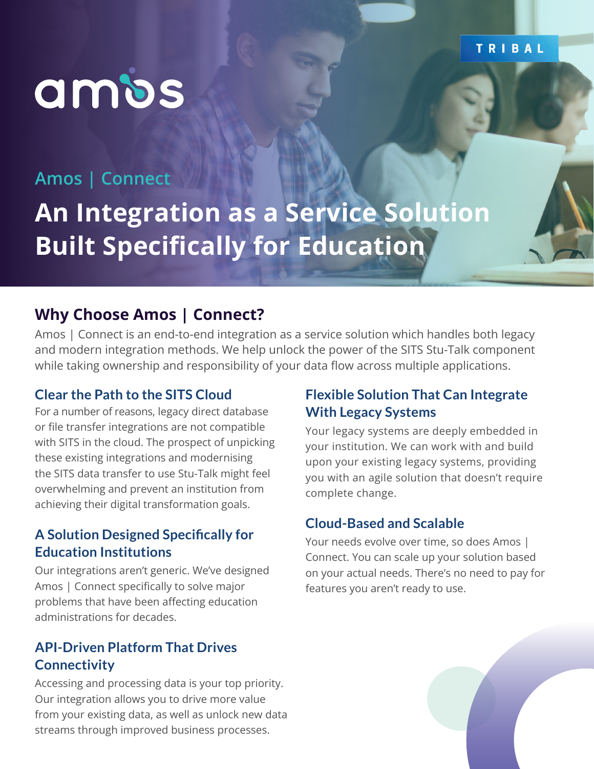### TRIBAL

# ambs

### **Amos | Connect**

**An Integration as a Service Solution Built Specifically for Education**

### **Why Choose Amos | Connect?**

Amos | Connect is an end-to-end integration as a service solution which handles both legacy and modern integration methods. We help unlock the power of the SITS Stu-Talk component while taking ownership and responsibility of your data flow across multiple applications.

### **Clear the Path to the SITS Cloud**

For a number of reasons, legacy direct database or file transfer integrations are not compatible with SITS in the cloud. The prospect of unpicking these existing integrations and modernising the SITS data transfer to use Stu-Talk might feel overwhelming and prevent an institution from achieving their digital transformation goals.

### **A Solution Designed Specifically for Education Institutions**

Our integrations aren't generic. We've designed Amos | Connect specifically to solve major problems that have been affecting education administrations for decades.

### **API-Driven Platform That Drives Connectivity**

Accessing and processing data is your top priority. Our integration allows you to drive more value from your existing data, as well as unlock new data streams through improved business processes.

### **Flexible Solution That Can Integrate With Legacy Systems**

Your legacy systems are deeply embedded in your institution. We can work with and build upon your existing legacy systems, providing you with an agile solution that doesn't require complete change.

### **Cloud-Based and Scalable**

Your needs evolve over time, so does Amos | Connect. You can scale up your solution based on your actual needs. There's no need to pay for features you aren't ready to use.